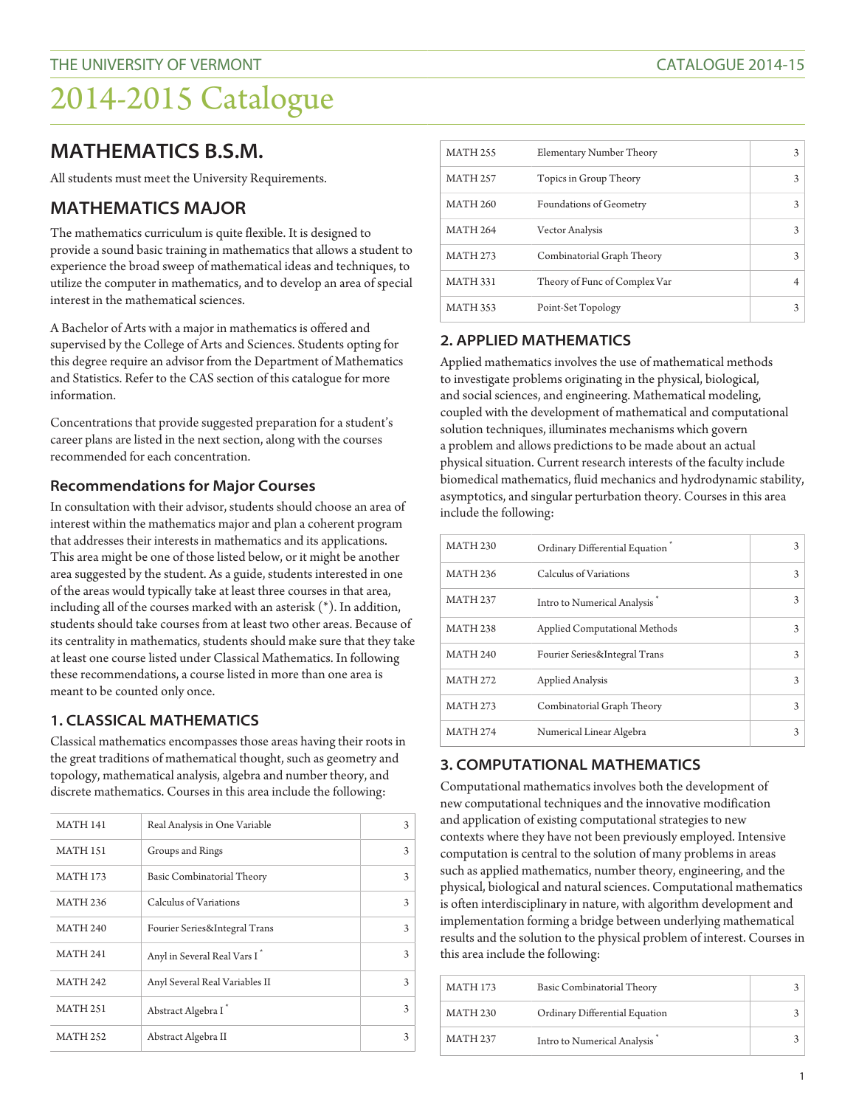# 2014-2015 Catalogue

# **MATHEMATICS B.S.M.**

All students must meet the University Requirements.

# **MATHEMATICS MAJOR**

The mathematics curriculum is quite flexible. It is designed to provide a sound basic training in mathematics that allows a student to experience the broad sweep of mathematical ideas and techniques, to utilize the computer in mathematics, and to develop an area of special interest in the mathematical sciences.

A Bachelor of Arts with a major in mathematics is offered and supervised by the College of Arts and Sciences. Students opting for this degree require an advisor from the Department of Mathematics and Statistics. Refer to the CAS section of this catalogue for more information.

Concentrations that provide suggested preparation for a student's career plans are listed in the next section, along with the courses recommended for each concentration.

#### **Recommendations for Major Courses**

In consultation with their advisor, students should choose an area of interest within the mathematics major and plan a coherent program that addresses their interests in mathematics and its applications. This area might be one of those listed below, or it might be another area suggested by the student. As a guide, students interested in one of the areas would typically take at least three courses in that area, including all of the courses marked with an asterisk (\*). In addition, students should take courses from at least two other areas. Because of its centrality in mathematics, students should make sure that they take at least one course listed under Classical Mathematics. In following these recommendations, a course listed in more than one area is meant to be counted only once.

#### **1. CLASSICAL MATHEMATICS**

Classical mathematics encompasses those areas having their roots in the great traditions of mathematical thought, such as geometry and topology, mathematical analysis, algebra and number theory, and discrete mathematics. Courses in this area include the following:

| <b>MATH 141</b> | Real Analysis in One Variable   | 3 |
|-----------------|---------------------------------|---|
| <b>MATH 151</b> | Groups and Rings                | 3 |
| <b>MATH 173</b> | Basic Combinatorial Theory      | 3 |
| <b>MATH 236</b> | Calculus of Variations          | 3 |
| <b>MATH 240</b> | Fourier Series∫ Trans           | 3 |
| <b>MATH 241</b> | Anyl in Several Real Vars I     | 3 |
| <b>MATH 242</b> | Anyl Several Real Variables II  | 3 |
| <b>MATH 251</b> | Abstract Algebra I <sup>*</sup> | 3 |
| <b>MATH 252</b> | Abstract Algebra II             | 3 |

| <b>MATH 255</b> | Elementary Number Theory      | 3 |
|-----------------|-------------------------------|---|
| <b>MATH 257</b> | Topics in Group Theory        | 3 |
| <b>MATH 260</b> | Foundations of Geometry       | 3 |
| <b>MATH 264</b> | Vector Analysis               | 3 |
| <b>MATH 273</b> | Combinatorial Graph Theory    | 3 |
| <b>MATH 331</b> | Theory of Func of Complex Var |   |
| <b>MATH 353</b> | Point-Set Topology            | 3 |

## **2. APPLIED MATHEMATICS**

Applied mathematics involves the use of mathematical methods to investigate problems originating in the physical, biological, and social sciences, and engineering. Mathematical modeling, coupled with the development of mathematical and computational solution techniques, illuminates mechanisms which govern a problem and allows predictions to be made about an actual physical situation. Current research interests of the faculty include biomedical mathematics, fluid mechanics and hydrodynamic stability, asymptotics, and singular perturbation theory. Courses in this area include the following:

| <b>MATH 230</b> | Ordinary Differential Equation | 3 |
|-----------------|--------------------------------|---|
| <b>MATH 236</b> | Calculus of Variations         | 3 |
| <b>MATH 237</b> | Intro to Numerical Analysis    | 3 |
| <b>MATH 238</b> | Applied Computational Methods  | 3 |
| <b>MATH 240</b> | Fourier Series∫ Trans          | 3 |
| <b>MATH 272</b> | <b>Applied Analysis</b>        | 3 |
| <b>MATH 273</b> | Combinatorial Graph Theory     | 3 |
| <b>MATH 274</b> | Numerical Linear Algebra       | 3 |

## **3. COMPUTATIONAL MATHEMATICS**

Computational mathematics involves both the development of new computational techniques and the innovative modification and application of existing computational strategies to new contexts where they have not been previously employed. Intensive computation is central to the solution of many problems in areas such as applied mathematics, number theory, engineering, and the physical, biological and natural sciences. Computational mathematics is often interdisciplinary in nature, with algorithm development and implementation forming a bridge between underlying mathematical results and the solution to the physical problem of interest. Courses in this area include the following:

| <b>MATH 173</b> | Basic Combinatorial Theory     |  |
|-----------------|--------------------------------|--|
| MATH 230        | Ordinary Differential Equation |  |
| <b>MATH 237</b> | Intro to Numerical Analysis    |  |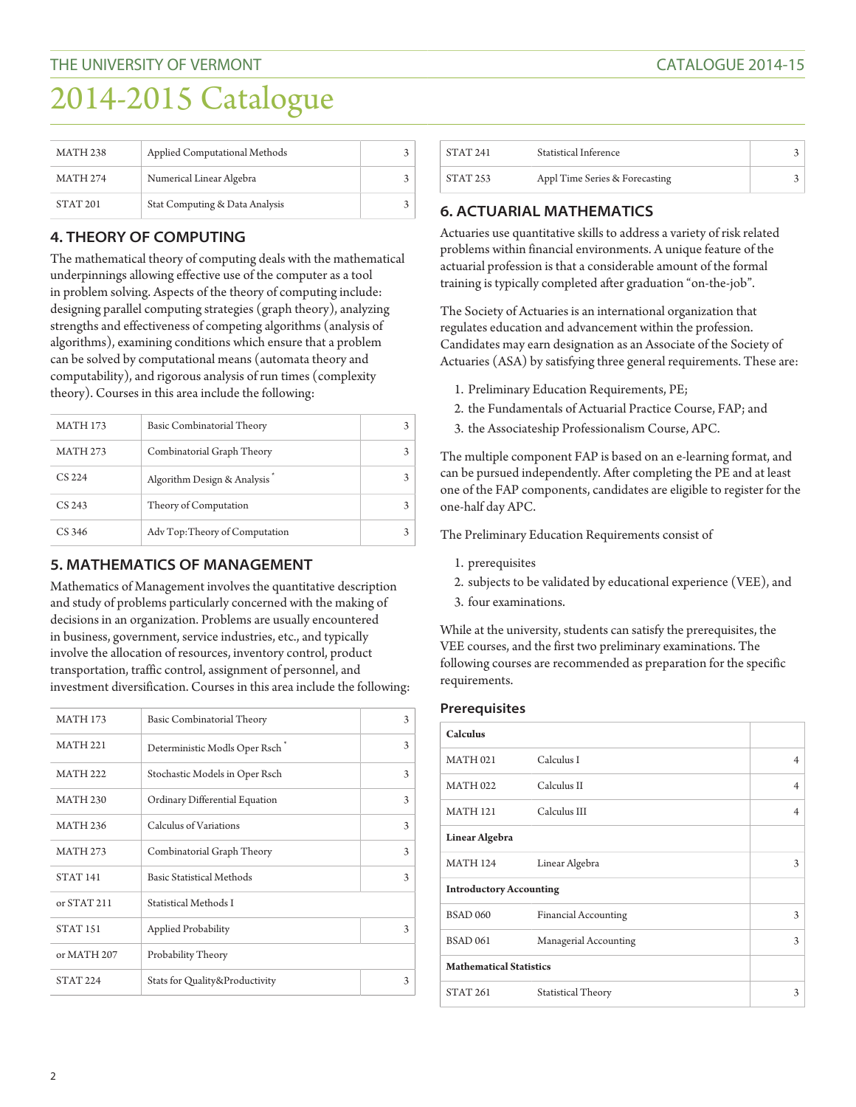# 2014-2015 Catalogue

| <b>MATH 238</b> | Applied Computational Methods  |  |
|-----------------|--------------------------------|--|
| <b>MATH 274</b> | Numerical Linear Algebra       |  |
| <b>STAT 201</b> | Stat Computing & Data Analysis |  |

# **4. THEORY OF COMPUTING**

The mathematical theory of computing deals with the mathematical underpinnings allowing effective use of the computer as a tool in problem solving. Aspects of the theory of computing include: designing parallel computing strategies (graph theory), analyzing strengths and effectiveness of competing algorithms (analysis of algorithms), examining conditions which ensure that a problem can be solved by computational means (automata theory and computability), and rigorous analysis of run times (complexity theory). Courses in this area include the following:

| <b>MATH 173</b> | Basic Combinatorial Theory     |  |
|-----------------|--------------------------------|--|
| <b>MATH 273</b> | Combinatorial Graph Theory     |  |
| CS 224          | Algorithm Design & Analysis    |  |
| CS 243          | Theory of Computation          |  |
| CS 346          | Adv Top: Theory of Computation |  |

## **5. MATHEMATICS OF MANAGEMENT**

Mathematics of Management involves the quantitative description and study of problems particularly concerned with the making of decisions in an organization. Problems are usually encountered in business, government, service industries, etc., and typically involve the allocation of resources, inventory control, product transportation, traffic control, assignment of personnel, and investment diversification. Courses in this area include the following:

| <b>MATH 173</b>     | Basic Combinatorial Theory       | 3 |
|---------------------|----------------------------------|---|
| <b>MATH 221</b>     | Deterministic Modls Oper Rsch    | 3 |
| <b>MATH 222</b>     | Stochastic Models in Oper Rsch   | 3 |
| <b>MATH 230</b>     | Ordinary Differential Equation   | 3 |
| <b>MATH 236</b>     | Calculus of Variations           | 3 |
| <b>MATH 273</b>     | Combinatorial Graph Theory       | 3 |
| <b>STAT 141</b>     | <b>Basic Statistical Methods</b> | 3 |
| or STAT 211         | Statistical Methods I            |   |
| STAT <sub>151</sub> | Applied Probability              | 3 |
| or MATH 207         | Probability Theory               |   |
| <b>STAT 224</b>     | Stats for Quality&Productivity   | 3 |

| STAT 241 | Statistical Inference          |  |
|----------|--------------------------------|--|
| STAT 253 | Appl Time Series & Forecasting |  |

# **6. ACTUARIAL MATHEMATICS**

Actuaries use quantitative skills to address a variety of risk related problems within financial environments. A unique feature of the actuarial profession is that a considerable amount of the formal training is typically completed after graduation "on-the-job".

The Society of Actuaries is an international organization that regulates education and advancement within the profession. Candidates may earn designation as an Associate of the Society of Actuaries (ASA) by satisfying three general requirements. These are:

- 1. Preliminary Education Requirements, PE;
- 2. the Fundamentals of Actuarial Practice Course, FAP; and
- 3. the Associateship Professionalism Course, APC.

The multiple component FAP is based on an e-learning format, and can be pursued independently. After completing the PE and at least one of the FAP components, candidates are eligible to register for the one-half day APC.

The Preliminary Education Requirements consist of

- 1. prerequisites
- 2. subjects to be validated by educational experience (VEE), and
- 3. four examinations.

While at the university, students can satisfy the prerequisites, the VEE courses, and the first two preliminary examinations. The following courses are recommended as preparation for the specific requirements.

#### **Prerequisites**

| <b>Calculus</b>                |                             |                |
|--------------------------------|-----------------------------|----------------|
| <b>MATH 021</b>                | Calculus I                  | 4              |
| <b>MATH 022</b>                | Calculus II                 | $\overline{4}$ |
| <b>MATH 121</b>                | Calculus III                | 4              |
| Linear Algebra                 |                             |                |
| <b>MATH 124</b>                | Linear Algebra              | 3              |
| <b>Introductory Accounting</b> |                             |                |
| <b>BSAD 060</b>                | <b>Financial Accounting</b> | 3              |
| <b>BSAD 061</b>                | Managerial Accounting       | 3              |
| <b>Mathematical Statistics</b> |                             |                |
| <b>STAT 261</b>                | Statistical Theory          | 3              |